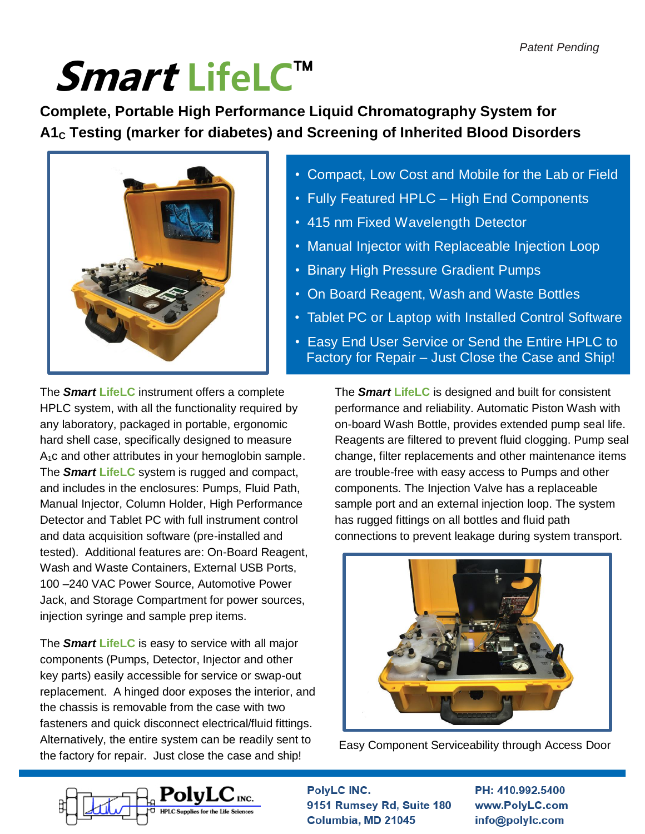# Smart LifeLC™

**Complete, Portable High Performance Liquid Chromatography System for A1<sup>C</sup> Testing (marker for diabetes) and Screening of Inherited Blood Disorders**



- Compact, Low Cost and Mobile for the Lab or Field
- Fully Featured HPLC High End Components
- 415 nm Fixed Wavelength Detector
- Manual Injector with Replaceable Injection Loop
- Binary High Pressure Gradient Pumps
- On Board Reagent, Wash and Waste Bottles
- Tablet PC or Laptop with Installed Control Software
- Easy End User Service or Send the Entire HPLC to Factory for Repair – Just Close the Case and Ship!

The *Smart* **LifeLC** instrument offers a complete HPLC system, with all the functionality required by any laboratory, packaged in portable, ergonomic hard shell case, specifically designed to measure  $A_1c$  and other attributes in your hemoglobin sample. The *Smart* **LifeLC** system is rugged and compact, and includes in the enclosures: Pumps, Fluid Path, Manual Injector, Column Holder, High Performance Detector and Tablet PC with full instrument control and data acquisition software (pre-installed and tested). Additional features are: On-Board Reagent, Wash and Waste Containers, External USB Ports, 100 –240 VAC Power Source, Automotive Power Jack, and Storage Compartment for power sources, injection syringe and sample prep items.

The *Smart* **LifeLC** is easy to service with all major components (Pumps, Detector, Injector and other key parts) easily accessible for service or swap-out replacement. A hinged door exposes the interior, and the chassis is removable from the case with two fasteners and quick disconnect electrical/fluid fittings. Alternatively, the entire system can be readily sent to the factory for repair. Just close the case and ship!

The *Smart* **LifeLC** is designed and built for consistent performance and reliability. Automatic Piston Wash with on-board Wash Bottle, provides extended pump seal life. Reagents are filtered to prevent fluid clogging. Pump seal change, filter replacements and other maintenance items are trouble-free with easy access to Pumps and other components. The Injection Valve has a replaceable sample port and an external injection loop. The system has rugged fittings on all bottles and fluid path connections to prevent leakage during system transport.



Easy Component Serviceability through Access Door



PolyLC INC. 9151 Rumsey Rd, Suite 180 Columbia, MD 21045

Door

PH: 410.992.5400 www.PolyLC.com info@polylc.com